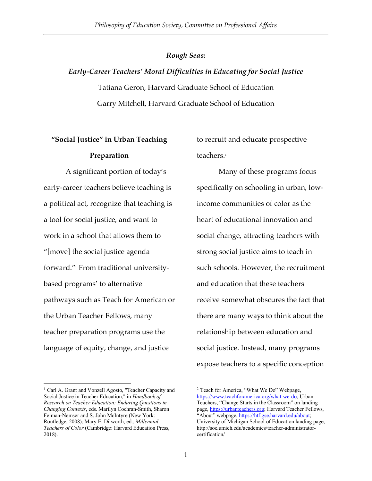## *Rough Seas:*

# *Early-Career Teachers' Moral Difficulties in Educating for Social Justice* Tatiana Geron, Harvard Graduate School of Education Garry Mitchell, Harvard Graduate School of Education

# **"Social Justice" in Urban Teaching Preparation**

A significant portion of today's early-career teachers believe teaching is a political act, recognize that teaching is a tool for social justice, and want to work in a school that allows them to "[move] the social justice agenda forward."1 From traditional universitybased programs' to alternative pathways such as Teach for American or the Urban Teacher Fellows, many teacher preparation programs use the language of equity, change, and justice

 

to recruit and educate prospective teachers.<sup>2</sup>

Many of these programs focus specifically on schooling in urban, lowincome communities of color as the heart of educational innovation and social change, attracting teachers with strong social justice aims to teach in such schools. However, the recruitment and education that these teachers receive somewhat obscures the fact that there are many ways to think about the relationship between education and social justice. Instead, many programs expose teachers to a specific conception

<sup>&</sup>lt;sup>1</sup> Carl A. Grant and Vonzell Agosto, "Teacher Capacity and Social Justice in Teacher Education," in *Handbook of Research on Teacher Education: Enduring Questions in Changing Contexts*, eds. Marilyn Cochran-Smith, Sharon Feiman-Nemser and S. John McIntyre (New York: Routledge, 2008); Mary E. Dilworth, ed., *Millennial Teachers of Color* (Cambridge: Harvard Education Press, 2018).

<sup>&</sup>lt;sup>2</sup> Teach for America, "What We Do" Webpage, https://www.teachforamerica.org/what-we-do; Urban Teachers, "Change Starts in the Classroom" on landing page, https://urbanteachers.org; Harvard Teacher Fellows, "About" webpage, https://htf.gse.harvard.edu/about; University of Michigan School of Education landing page, http://soe.umich.edu/academics/teacher-administratorcertification/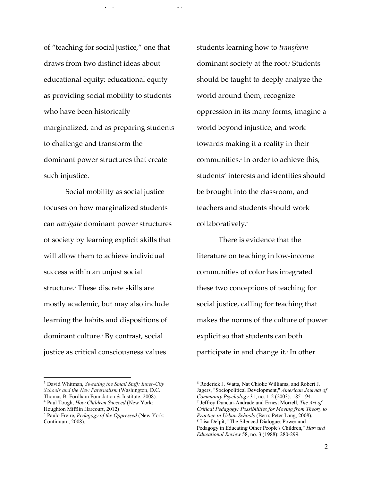of "teaching for social justice," one that draws from two distinct ideas about educational equity: educational equity as providing social mobility to students who have been historically marginalized, and as preparing students to challenge and transform the dominant power structures that create such injustice.

 $\mathcal{P}$  is the committee on  $\mathcal{P}$  is the committee on  $\mathcal{P}$  is the committee on  $\mathcal{P}$ 

Social mobility as social justice focuses on how marginalized students can *navigate* dominant power structures of society by learning explicit skills that will allow them to achieve individual success within an unjust social structure.<sup>3</sup> These discrete skills are mostly academic, but may also include learning the habits and dispositions of dominant culture.4 By contrast, social justice as critical consciousness values

 

students learning how to *transform*  dominant society at the root.<sup>5</sup> Students should be taught to deeply analyze the world around them, recognize oppression in its many forms, imagine a world beyond injustice, and work towards making it a reality in their communities.<sup>4</sup> In order to achieve this, students' interests and identities should be brought into the classroom, and teachers and students should work collaboratively.<sup>7</sup>

There is evidence that the literature on teaching in low-income communities of color has integrated these two conceptions of teaching for social justice, calling for teaching that makes the norms of the culture of power explicit so that students can both participate in and change it.<sup>8</sup> In other

<sup>3</sup> David Whitman, *Sweating the Small Stuff: Inner-City Schools and the New Paternalism* (Washington, D.C.: Thomas B. Fordham Foundation & Institute, 2008). <sup>4</sup> Paul Tough, *How Children Succeed* (New York:

Houghton Mifflin Harcourt, 2012)

<sup>5</sup> Paulo Freire, *Pedagogy of the Oppressed* (New York: Continuum, 2008).

<sup>6</sup> Roderick J. Watts, Nat Chioke Williams, and Robert J. Jagers, "Sociopolitical Development," *American Journal of Community Psychology* 31, no. 1-2 (2003): 185-194. <sup>7</sup> Jeffrey Duncan-Andrade and Ernest Morrell, *The Art of Critical Pedagogy: Possibilities for Moving from Theory to Practice in Urban Schools* (Bern: Peter Lang, 2008). <sup>8</sup> Lisa Delpit, "The Silenced Dialogue: Power and Pedagogy in Educating Other People's Children," *Harvard Educational Review* 58, no. 3 (1988): 280-299.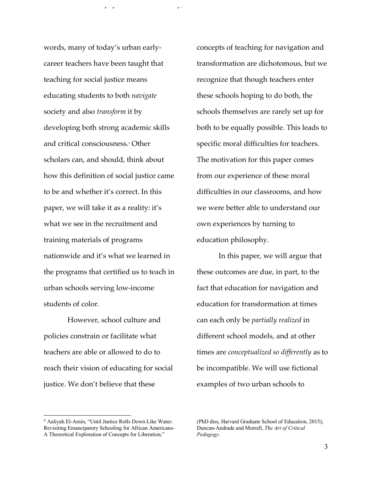words, many of today's urban earlycareer teachers have been taught that teaching for social justice means educating students to both *navigate*  society and also *transform* it by developing both strong academic skills and critical consciousness.<sup>9</sup> Other scholars can, and should, think about how this definition of social justice came to be and whether it's correct. In this paper, we will take it as a reality: it's what we see in the recruitment and training materials of programs nationwide and it's what we learned in the programs that certified us to teach in urban schools serving low-income students of color.

However, school culture and policies constrain or facilitate what teachers are able or allowed to do to reach their vision of educating for social justice. We don't believe that these

concepts of teaching for navigation and transformation are dichotomous, but we recognize that though teachers enter these schools hoping to do both, the schools themselves are rarely set up for both to be equally possible. This leads to specific moral difficulties for teachers. The motivation for this paper comes from our experience of these moral difficulties in our classrooms, and how we were better able to understand our own experiences by turning to education philosophy.

 $\mathcal{P}$  is the committee on  $\mathcal{P}$  is the committee on  $\mathcal{P}$  is the committee on  $\mathcal{P}$ 

In this paper, we will argue that these outcomes are due, in part, to the fact that education for navigation and education for transformation at times can each only be *partially realized* in different school models, and at other times are *conceptualized so differently* as to be incompatible. We will use fictional examples of two urban schools to

 

<sup>9</sup> Aaliyah El-Amin, "Until Justice Rolls Down Like Water: Revisiting Emancipatory Schooling for African Americans-A Theoretical Exploration of Concepts for Liberation,"

<sup>(</sup>PhD diss, Harvard Graduate School of Education, 2015); Duncan-Andrade and Morrell, *The Art of Critical Pedagogy*.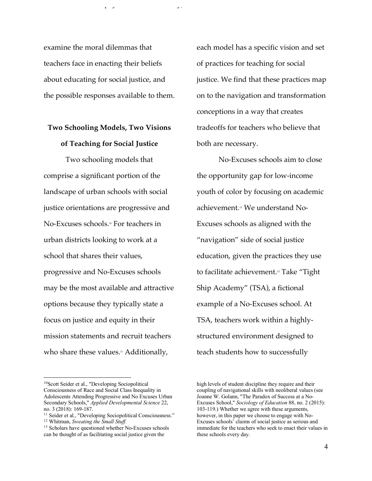examine the moral dilemmas that teachers face in enacting their beliefs about educating for social justice, and the possible responses available to them.

 $\mathcal{P}$  is the committee on  $\mathcal{P}$  is the committee on  $\mathcal{P}$  is the committee on  $\mathcal{P}$ 

# **Two Schooling Models, Two Visions of Teaching for Social Justice**

Two schooling models that comprise a significant portion of the landscape of urban schools with social justice orientations are progressive and No-Excuses schools.<sup>10</sup> For teachers in urban districts looking to work at a school that shares their values, progressive and No-Excuses schools may be the most available and attractive options because they typically state a focus on justice and equity in their mission statements and recruit teachers who share these values.<sup>11</sup> Additionally,

 

each model has a specific vision and set of practices for teaching for social justice. We find that these practices map on to the navigation and transformation conceptions in a way that creates tradeoffs for teachers who believe that both are necessary.

No-Excuses schools aim to close the opportunity gap for low-income youth of color by focusing on academic achievement.12 We understand No-Excuses schools as aligned with the "navigation" side of social justice education, given the practices they use to facilitate achievement.13 Take "Tight Ship Academy" (TSA), a fictional example of a No-Excuses school. At TSA, teachers work within a highlystructured environment designed to teach students how to successfully

<sup>10</sup>Scott Seider et al., "Developing Sociopolitical Consciousness of Race and Social Class Inequality in Adolescents Attending Progressive and No Excuses Urban Secondary Schools," *Applied Developmental Science* 22, no. 3 (2018): 169-187.

<sup>&</sup>lt;sup>11</sup> Seider et al., "Developing Sociopolitical Consciousness." <sup>12</sup> Whitman, *Sweating the Small Stuff.*

<sup>&</sup>lt;sup>13</sup> Scholars have questioned whether No-Excuses schools can be thought of as facilitating social justice given the

high levels of student discipline they require and their coupling of navigational skills with neoliberal values (see Joanne W. Golann, "The Paradox of Success at a No-Excuses School," *Sociology of Education* 88, no. 2 (2015): 103-119.) Whether we agree with these arguments, however, in this paper we choose to engage with No-Excuses schools' claims of social justice as serious and immediate for the teachers who seek to enact their values in these schools every day.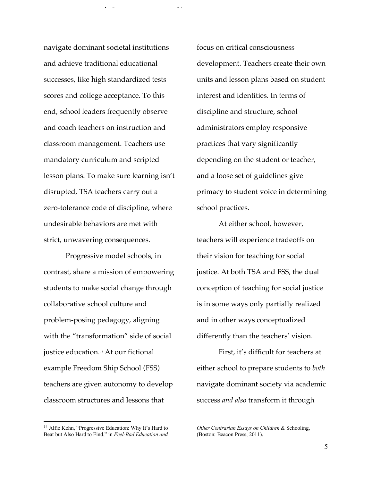navigate dominant societal institutions and achieve traditional educational successes, like high standardized tests scores and college acceptance. To this end, school leaders frequently observe and coach teachers on instruction and classroom management. Teachers use mandatory curriculum and scripted lesson plans. To make sure learning isn't disrupted, TSA teachers carry out a zero-tolerance code of discipline, where undesirable behaviors are met with strict, unwavering consequences.

Progressive model schools, in contrast, share a mission of empowering students to make social change through collaborative school culture and problem-posing pedagogy, aligning with the "transformation" side of social justice education. <sup>14</sup> At our fictional example Freedom Ship School (FSS) teachers are given autonomy to develop classroom structures and lessons that

<sup>14</sup> Alfie Kohn, "Progressive Education: Why It's Hard to Beat but Also Hard to Find," in *Feel-Bad Education and* 

 

focus on critical consciousness development. Teachers create their own units and lesson plans based on student interest and identities. In terms of discipline and structure, school administrators employ responsive practices that vary significantly depending on the student or teacher, and a loose set of guidelines give primacy to student voice in determining school practices.

 $\mathcal{P}$  is the committee on  $\mathcal{P}$  is the committee on  $\mathcal{P}$  is the committee on  $\mathcal{P}$ 

At either school, however, teachers will experience tradeoffs on their vision for teaching for social justice. At both TSA and FSS, the dual conception of teaching for social justice is in some ways only partially realized and in other ways conceptualized differently than the teachers' vision.

First, it's difficult for teachers at either school to prepare students to *both*  navigate dominant society via academic success *and also* transform it through

*Other Contrarian Essays on Children &* Schooling, (Boston: Beacon Press, 2011).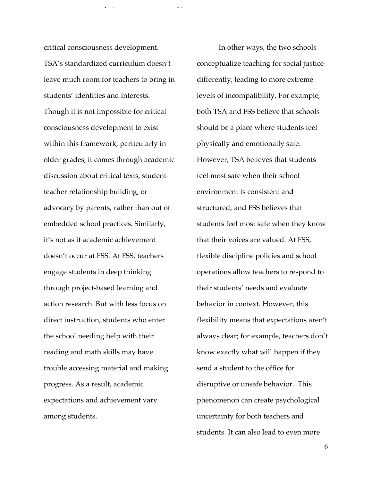critical consciousness development. TSA's standardized curriculum doesn't leave much room for teachers to bring in students' identities and interests. Though it is not impossible for critical consciousness development to exist within this framework, particularly in older grades, it comes through academic discussion about critical texts, studentteacher relationship building, or advocacy by parents, rather than out of embedded school practices. Similarly, it's not as if academic achievement doesn't occur at FSS. At FSS, teachers engage students in deep thinking through project-based learning and action research. But with less focus on direct instruction, students who enter the school needing help with their reading and math skills may have trouble accessing material and making progress. As a result, academic expectations and achievement vary among students.

 In other ways, the two schools conceptualize teaching for social justice differently, leading to more extreme levels of incompatibility. For example, both TSA and FSS believe that schools should be a place where students feel physically and emotionally safe. However, TSA believes that students feel most safe when their school environment is consistent and structured, and FSS believes that students feel most safe when they know that their voices are valued. At FSS, flexible discipline policies and school operations allow teachers to respond to their students' needs and evaluate behavior in context. However, this flexibility means that expectations aren't always clear; for example, teachers don't know exactly what will happen if they send a student to the office for disruptive or unsafe behavior. This phenomenon can create psychological uncertainty for both teachers and students. It can also lead to even more

 $\mathcal{P}$  is the committee on  $\mathcal{P}$  is the committee on  $\mathcal{P}$  is the committee on  $\mathcal{P}$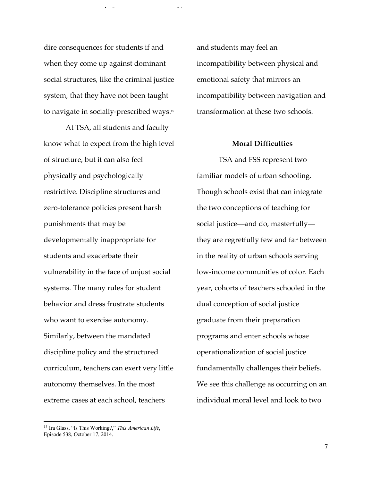dire consequences for students if and when they come up against dominant social structures, like the criminal justice system, that they have not been taught to navigate in socially-prescribed ways.15

At TSA, all students and faculty know what to expect from the high level of structure, but it can also feel physically and psychologically restrictive. Discipline structures and zero-tolerance policies present harsh punishments that may be developmentally inappropriate for students and exacerbate their vulnerability in the face of unjust social systems. The many rules for student behavior and dress frustrate students who want to exercise autonomy. Similarly, between the mandated discipline policy and the structured curriculum, teachers can exert very little autonomy themselves. In the most extreme cases at each school, teachers

<sup>15</sup> Ira Glass, "Is This Working?," *This American Life*, Episode 538, October 17, 2014.

 

and students may feel an incompatibility between physical and emotional safety that mirrors an incompatibility between navigation and transformation at these two schools.

 $\mathcal{P}$  is the committee on  $\mathcal{P}$  is the committee on  $\mathcal{P}$  is the committee on  $\mathcal{P}$ 

### **Moral Difficulties**

TSA and FSS represent two familiar models of urban schooling. Though schools exist that can integrate the two conceptions of teaching for social justice—and do, masterfully they are regretfully few and far between in the reality of urban schools serving low-income communities of color. Each year, cohorts of teachers schooled in the dual conception of social justice graduate from their preparation programs and enter schools whose operationalization of social justice fundamentally challenges their beliefs. We see this challenge as occurring on an individual moral level and look to two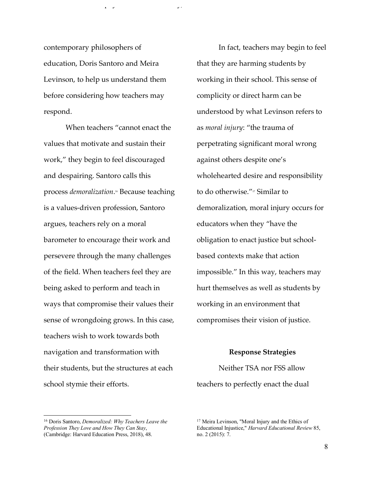contemporary philosophers of education, Doris Santoro and Meira Levinson, to help us understand them before considering how teachers may respond.

 $\mathcal{P}$  is the committee on  $\mathcal{P}$  is the committee on  $\mathcal{P}$  is the committee on  $\mathcal{P}$ 

When teachers "cannot enact the values that motivate and sustain their work," they begin to feel discouraged and despairing. Santoro calls this process *demoralization*. <sup>16</sup> Because teaching is a values-driven profession, Santoro argues, teachers rely on a moral barometer to encourage their work and persevere through the many challenges of the field. When teachers feel they are being asked to perform and teach in ways that compromise their values their sense of wrongdoing grows. In this case, teachers wish to work towards both navigation and transformation with their students, but the structures at each school stymie their efforts.

In fact, teachers may begin to feel that they are harming students by working in their school. This sense of complicity or direct harm can be understood by what Levinson refers to as *moral injury*: "the trauma of perpetrating significant moral wrong against others despite one's wholehearted desire and responsibility to do otherwise."<sup>17</sup> Similar to demoralization, moral injury occurs for educators when they "have the obligation to enact justice but schoolbased contexts make that action impossible." In this way, teachers may hurt themselves as well as students by working in an environment that compromises their vision of justice.

#### **Response Strategies**

Neither TSA nor FSS allow teachers to perfectly enact the dual

 

<sup>16</sup> Doris Santoro, *Demoralized: Why Teachers Leave the Profession They Love and How They Can Stay*, (Cambridge: Harvard Education Press, 2018), 48.

<sup>17</sup> Meira Levinson, "Moral Injury and the Ethics of Educational Injustice," *Harvard Educational Review* 85, no. 2 (2015): 7.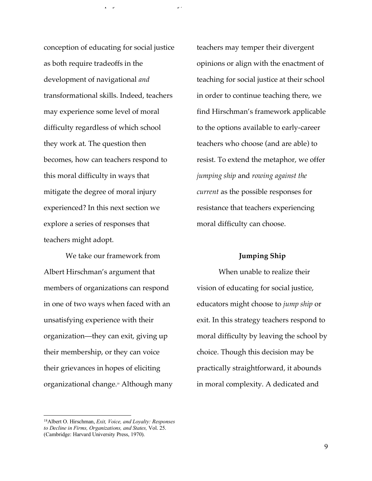conception of educating for social justice as both require tradeoffs in the development of navigational *and*  transformational skills. Indeed, teachers may experience some level of moral difficulty regardless of which school they work at. The question then becomes, how can teachers respond to this moral difficulty in ways that mitigate the degree of moral injury experienced? In this next section we explore a series of responses that teachers might adopt.

We take our framework from Albert Hirschman's argument that members of organizations can respond in one of two ways when faced with an unsatisfying experience with their organization—they can exit, giving up their membership, or they can voice their grievances in hopes of eliciting organizational change.<sup>18</sup> Although many

teachers may temper their divergent opinions or align with the enactment of teaching for social justice at their school in order to continue teaching there, we find Hirschman's framework applicable to the options available to early-career teachers who choose (and are able) to resist. To extend the metaphor, we offer *jumping ship* and *rowing against the current* as the possible responses for resistance that teachers experiencing moral difficulty can choose.

 $\mathcal{P}$  is the committee on  $\mathcal{P}$  is the committee on  $\mathcal{P}$  is the committee on  $\mathcal{P}$ 

#### **Jumping Ship**

When unable to realize their vision of educating for social justice, educators might choose to *jump ship* or exit. In this strategy teachers respond to moral difficulty by leaving the school by choice. Though this decision may be practically straightforward, it abounds in moral complexity. A dedicated and

 

<sup>18</sup>Albert O. Hirschman, *Exit, Voice, and Loyalty: Responses to Decline in Firms, Organizations, and States,* Vol. 25. (Cambridge: Harvard University Press, 1970).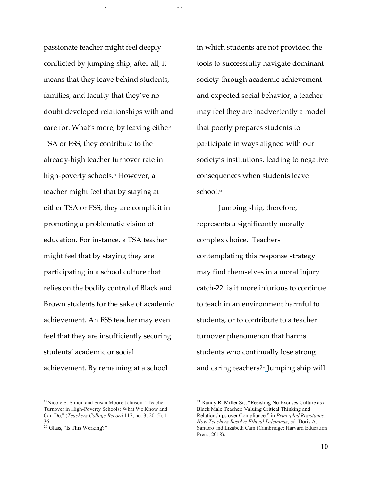passionate teacher might feel deeply conflicted by jumping ship; after all, it means that they leave behind students, families, and faculty that they've no doubt developed relationships with and care for. What's more, by leaving either TSA or FSS, they contribute to the already-high teacher turnover rate in high-poverty schools.<sup>19</sup> However, a teacher might feel that by staying at either TSA or FSS, they are complicit in promoting a problematic vision of education. For instance, a TSA teacher might feel that by staying they are participating in a school culture that relies on the bodily control of Black and Brown students for the sake of academic achievement. An FSS teacher may even feel that they are insufficiently securing students' academic or social achievement. By remaining at a school

in which students are not provided the tools to successfully navigate dominant society through academic achievement and expected social behavior, a teacher may feel they are inadvertently a model that poorly prepares students to participate in ways aligned with our society's institutions, leading to negative consequences when students leave school.20

 $\mathcal{P}$  is the committee on  $\mathcal{P}$  is the committee on  $\mathcal{P}$  is the committee on  $\mathcal{P}$ 

Jumping ship, therefore, represents a significantly morally complex choice. Teachers contemplating this response strategy may find themselves in a moral injury catch-22: is it more injurious to continue to teach in an environment harmful to students, or to contribute to a teacher turnover phenomenon that harms students who continually lose strong and caring teachers?21 Jumping ship will

 19Nicole S. Simon and Susan Moore Johnson. "Teacher Turnover in High-Poverty Schools: What We Know and Can Do," (*Teachers College Record* 117, no. 3, 2015): 1- 36.

<sup>20</sup> Glass, "Is This Working?"

<sup>21</sup> Randy R. Miller Sr., "Resisting No Excuses Culture as a Black Male Teacher: Valuing Critical Thinking and Relationships over Compliance," in *Principled Resistance: How Teachers Resolve Ethical Dilemmas*, ed. Doris A. Santoro and Lizabeth Cain (Cambridge: Harvard Education Press, 2018).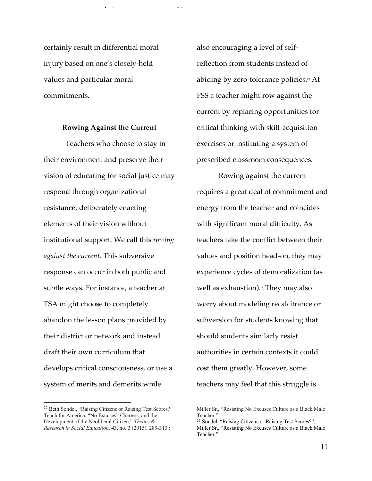certainly result in differential moral injury based on one's closely-held values and particular moral commitments.

#### **Rowing Against the Current**

Teachers who choose to stay in their environment and preserve their vision of educating for social justice may respond through organizational resistance, deliberately enacting elements of their vision without institutional support. We call this *rowing against the current.* This subversive response can occur in both public and subtle ways. For instance, a teacher at TSA might choose to completely abandon the lesson plans provided by their district or network and instead draft their own curriculum that develops critical consciousness, or use a system of merits and demerits while

 

also encouraging a level of selfreflection from students instead of abiding by zero-tolerance policies.<sup>22</sup> At FSS a teacher might row against the current by replacing opportunities for critical thinking with skill-acquisition exercises or instituting a system of prescribed classroom consequences.

 $\mathcal{P}$  is the committee on  $\mathcal{P}$  is the committee on  $\mathcal{P}$  is the committee on  $\mathcal{P}$ 

Rowing against the current requires a great deal of commitment and energy from the teacher and coincides with significant moral difficulty. As teachers take the conflict between their values and position head-on, they may experience cycles of demoralization (as well as exhaustion).<sup>23</sup> They may also worry about modeling recalcitrance or subversion for students knowing that should students similarly resist authorities in certain contexts it could cost them greatly. However, some teachers may feel that this struggle is

<sup>22</sup> Beth Sondel, "Raising Citizens or Raising Test Scores? Teach for America, "No Excuses" Charters, and the Development of the Neoliberal Citizen," *Theory & Research in Social Education*, 43, no. 3 (2015), 289-313.;

Miller Sr., "Resisting No Excuses Culture as a Black Male Teacher."

<sup>23</sup> Sondel, "Raising Citizens or Raising Test Scores?"; Miller Sr., "Resisting No Excuses Culture as a Black Male Teacher."